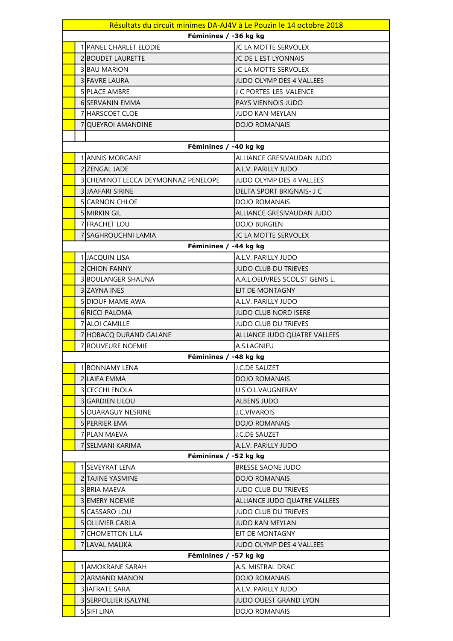| Résultats du circuit minimes DA-AJ4V à Le Pouzin le 14 octobre 2018 |                                                  |  |
|---------------------------------------------------------------------|--------------------------------------------------|--|
| Féminines / -36 kg kg                                               |                                                  |  |
| <b>1 PANEL CHARLET ELODIE</b>                                       | JC LA MOTTE SERVOLEX                             |  |
| 2 BOUDET LAURETTE                                                   | JC DE L EST LYONNAIS                             |  |
| <b>3 BAU MARION</b>                                                 | JC LA MOTTE SERVOLEX                             |  |
| <b>3 FAVRE LAURA</b>                                                | <b>JUDO OLYMP DES 4 VALLEES</b>                  |  |
| 5 PLACE AMBRE                                                       | J C PORTES-LES-VALENCE                           |  |
| <b>6 SERVANIN EMMA</b>                                              | PAYS VIENNOIS JUDO                               |  |
| 7 HARSCOET CLOE                                                     | <b>JUDO KAN MEYLAN</b>                           |  |
| 7 QUEYROI AMANDINE                                                  | <b>DOJO ROMANAIS</b>                             |  |
|                                                                     |                                                  |  |
| Féminines / -40 kg kg                                               |                                                  |  |
| <b>1 JANNIS MORGANE</b>                                             | ALLIANCE GRESIVAUDAN JUDO                        |  |
| 2 ZENGAL JADE                                                       | A.L.V. PARILLY JUDO                              |  |
| 3 SICHEMINOT LECCA DEYMONNAZ PENELOPE                               | <b>JUDO OLYMP DES 4 VALLEES</b>                  |  |
| 3 JAAFARI SIRINE                                                    | DELTA SPORT BRIGNAIS- J C                        |  |
| <b>5 CARNON CHLOE</b>                                               | <b>DOJO ROMANAIS</b>                             |  |
| 5 MIRKIN GIL                                                        | ALLIANCE GRESIVAUDAN JUDO                        |  |
| 7 FRACHET LOU                                                       | <b>DOJO BURGIEN</b>                              |  |
| 7 SAGHROUCHNI LAMIA                                                 | JC LA MOTTE SERVOLEX                             |  |
| Féminines / -44 kg kg                                               |                                                  |  |
| 1 JACQUIN LISA                                                      | A.L.V. PARILLY JUDO                              |  |
| 2 CHION FANNY                                                       | <b>JUDO CLUB DU TRIEVES</b>                      |  |
| 3 BOULANGER SHAUNA                                                  | A.A.L.OEUVRES SCOL.ST GENIS L.                   |  |
| 3 ZAYNA INES                                                        | EJT DE MONTAGNY                                  |  |
| <b>5 DIOUF MAME AWA</b>                                             | A.L.V. PARILLY JUDO                              |  |
| 6 RICCI PALOMA                                                      | <b>JUDO CLUB NORD ISERE</b>                      |  |
| 7 ALOI CAMILLE                                                      | <b>JUDO CLUB DU TRIEVES</b>                      |  |
| 7 HOBACQ DURAND GALANE                                              | ALLIANCE JUDO QUATRE VALLEES                     |  |
| 7 ROUVEURE NOEMIE                                                   | A.S.LAGNIEU                                      |  |
| Féminines / -48 kg kg                                               |                                                  |  |
| 1 BONNAMY LENA                                                      | J.C.DE SAUZET                                    |  |
| 2 LAIFA EMMA                                                        | <b>DOJO ROMANAIS</b>                             |  |
| 3 ICECCHI ENOLA                                                     | U.S.O.L.VAUGNERAY                                |  |
| <b>3 GARDIEN LILOU</b>                                              | ALBENS JUDO                                      |  |
| <b>5IOUARAGUY NESRINE</b>                                           | J.C.VIVAROIS                                     |  |
| <b>5 PERRIER EMA</b>                                                | <b>DOJO ROMANAIS</b>                             |  |
| 7 PLAN MAEVA                                                        | <b>J.C.DE SAUZET</b>                             |  |
| 7 SELMANI KARIMA                                                    | A.L.V. PARILLY JUDO                              |  |
| Féminines / -52 kg kg                                               |                                                  |  |
| 1 SEVEYRAT LENA<br><b>2 TAJINE YASMINE</b>                          | <b>BRESSE SAONE JUDO</b><br><b>DOJO ROMANAIS</b> |  |
| 3 BRIA MAEVA                                                        | JUDO CLUB DU TRIEVES                             |  |
| <b>3 EMERY NOEMIE</b>                                               | ALLIANCE JUDO QUATRE VALLEES                     |  |
| 5 CASSARO LOU                                                       | <b>JUDO CLUB DU TRIEVES</b>                      |  |
| <b>5 OLLIVIER CARLA</b>                                             | JUDO KAN MEYLAN                                  |  |
| 7 CHOMETTON LILA                                                    | EJT DE MONTAGNY                                  |  |
| 7ILAVAL MALIKA                                                      | <b>JUDO OLYMP DES 4 VALLEES</b>                  |  |
| Féminines / -57 kg kg                                               |                                                  |  |
| 1 AMOKRANE SARAH                                                    | A.S. MISTRAL DRAC                                |  |
| 2IARMAND MANON                                                      | <b>DOJO ROMANAIS</b>                             |  |
| 3 IAFRATE SARA                                                      | A.L.V. PARILLY JUDO                              |  |
| <b>3ISERPOLLIER ISALYNE</b>                                         | <b>JUDO OUEST GRAND LYON</b>                     |  |
| 5 SIFI LINA                                                         | <b>DOJO ROMANAIS</b>                             |  |